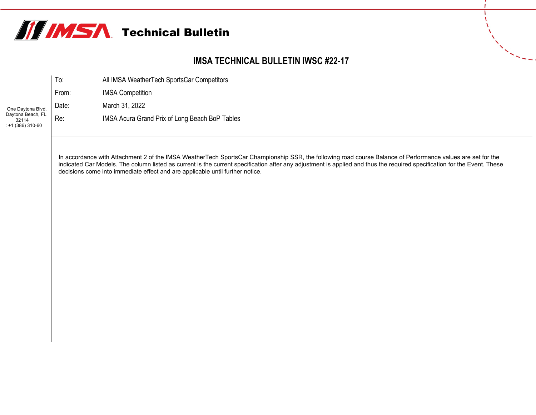

## **IMSA TECHNICAL BULLETIN IWSC #22-17**

|                                                 | To:   | All IMSA WeatherTech SportsCar Competitors     |
|-------------------------------------------------|-------|------------------------------------------------|
|                                                 | From: | <b>IMSA Competition</b>                        |
| One Daytona Blvd.                               | Date: | March 31, 2022                                 |
| Daytona Beach, FL<br>32114<br>$: +1(386)310-60$ | Re:   | IMSA Acura Grand Prix of Long Beach BoP Tables |

In accordance with Attachment 2 of the IMSA WeatherTech SportsCar Championship SSR, the following road course Balance of Performance values are set for the indicated Car Models. The column listed as current is the current specification after any adjustment is applied and thus the required specification for the Event. These decisions come into immediate effect and are applicable until further notice.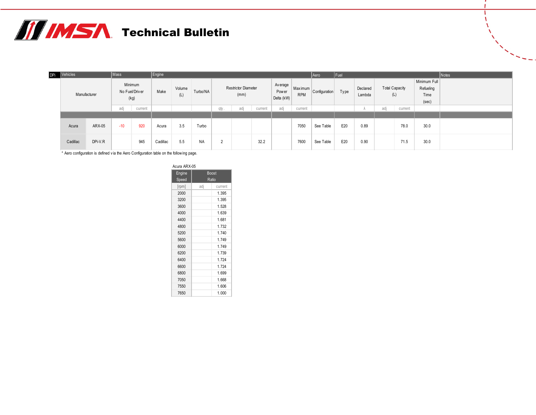

| DPi | Vehicles     |         | Mass  |         | Engine                            |     |       |               |          |         |                                    |         | $ $ Fuel<br>Aero                       |                       |               |      |                    |      | Notes                        |                                            |  |
|-----|--------------|---------|-------|---------|-----------------------------------|-----|-------|---------------|----------|---------|------------------------------------|---------|----------------------------------------|-----------------------|---------------|------|--------------------|------|------------------------------|--------------------------------------------|--|
|     | Manufacturer |         |       |         | Minimum<br>No Fuel/Driver<br>(kg) |     | Make  | Volume<br>(L) | Turbo/NA |         | <b>Restrictor Diameter</b><br>(mm) |         | Av erage<br><b>Power</b><br>Delta (kW) | Maximum<br><b>RPM</b> | Configuration | Type | Declared<br>Lambda |      | <b>Total Capacity</b><br>(L) | Minimum Full<br>Refueling<br>Time<br>(sec) |  |
|     |              |         | adj   | current |                                   |     |       | qty .         | adj      | current | adj                                | current |                                        |                       |               | adj  | current            |      |                              |                                            |  |
|     |              |         |       |         |                                   |     |       |               |          |         |                                    |         |                                        |                       |               |      |                    |      |                              |                                            |  |
|     | Acura        | ARX-05  | $-10$ | 920     | Acura                             | 3.5 | Turbo |               |          |         |                                    | 7050    | See Table                              | E20                   | 0.89          |      | 78.0               | 30.0 |                              |                                            |  |
|     | Cadillac     | DPi-V.R |       | 945     | Cadillac                          | 5.5 | NA    | $\sim$        |          | 32.2    |                                    | 7600    | See Table                              | E20                   | 0.90          |      | 71.5               | 30.0 |                              |                                            |  |

\* Aero configuration is defined v ia the Aero Configuration table on the follow ing page.

| Acura ARX-05 |     |              |  |  |  |  |  |  |  |  |  |
|--------------|-----|--------------|--|--|--|--|--|--|--|--|--|
| Engine       |     | <b>Boost</b> |  |  |  |  |  |  |  |  |  |
| Speed        |     | Ratio        |  |  |  |  |  |  |  |  |  |
| [rpm]        | adj | current      |  |  |  |  |  |  |  |  |  |
| 2000         |     | 1.395        |  |  |  |  |  |  |  |  |  |
| 3200         |     | 1.395        |  |  |  |  |  |  |  |  |  |
| 3600         |     | 1.528        |  |  |  |  |  |  |  |  |  |
| 4000         |     | 1.639        |  |  |  |  |  |  |  |  |  |
| 4400         |     | 1.681        |  |  |  |  |  |  |  |  |  |
| 4800         |     | 1.732        |  |  |  |  |  |  |  |  |  |
| 5200         |     | 1.740        |  |  |  |  |  |  |  |  |  |
| 5600         |     | 1.749        |  |  |  |  |  |  |  |  |  |
| 6000         |     | 1 749        |  |  |  |  |  |  |  |  |  |
| 6200         |     | 1.739        |  |  |  |  |  |  |  |  |  |
| 6400         |     | 1.724        |  |  |  |  |  |  |  |  |  |
| 6600         |     | 1.724        |  |  |  |  |  |  |  |  |  |
| 6800         |     | 1.699        |  |  |  |  |  |  |  |  |  |
| 7050         |     | 1.668        |  |  |  |  |  |  |  |  |  |
| 7550         |     | 1.606        |  |  |  |  |  |  |  |  |  |
| 7650         |     | 1.000        |  |  |  |  |  |  |  |  |  |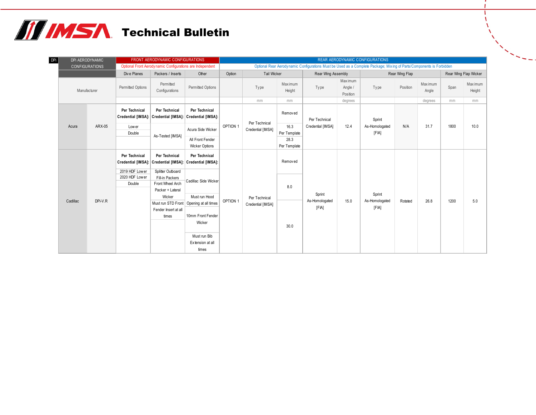## **TE IMSA** Technical Bulletin

| DPi | DPi AERODYNAMIC |                       |                                                  | FRONT AERODYNAMIC CONFIGURATIONS                                                               |                                                                                           | REAR AERODYNAMIC CONFIGURATIONS |                                    |                      |                                                                                                                      |                                |                                   |          |                   |                       |                   |  |
|-----|-----------------|-----------------------|--------------------------------------------------|------------------------------------------------------------------------------------------------|-------------------------------------------------------------------------------------------|---------------------------------|------------------------------------|----------------------|----------------------------------------------------------------------------------------------------------------------|--------------------------------|-----------------------------------|----------|-------------------|-----------------------|-------------------|--|
|     |                 | <b>CONFIGURATIONS</b> |                                                  | Optional Front Aerodynamic Configurations are Independent                                      |                                                                                           |                                 |                                    |                      | Optional Rear Aerodynamic Configurations Must be Used as a Complete Package; Mixing of Parts/Components is Forbidden |                                |                                   |          |                   |                       |                   |  |
|     |                 |                       | Dive Planes                                      | Packers / Inserts                                                                              | Other                                                                                     | Option                          | Tail Wicker                        |                      | Rear Wing Assembly                                                                                                   |                                | Rear Wing Flap                    |          |                   | Rear Wing Flap Wicker |                   |  |
|     | Manufacturer    |                       | Permitted<br>Permitted Options<br>Configurations |                                                                                                | Permitted Options                                                                         |                                 |                                    | Maximum<br>Height    | Type                                                                                                                 | Maximum<br>Angle /<br>Position | Type                              | Position | Max imum<br>Angle | Span                  | Maximum<br>Height |  |
|     |                 |                       |                                                  |                                                                                                |                                                                                           |                                 | mm                                 | mm                   |                                                                                                                      | degrees                        |                                   |          | degrees           | mm                    | mm                |  |
|     |                 |                       | Per Technical                                    | Per Technical<br>Credential [IMSA]: Credential [IMSA]: Credential [IMSA]:                      | Per Technical                                                                             | OPTION 1                        | Per Technical<br>Credential [IMSA] | Removed              | Per Technical<br>Credential [IMSA]                                                                                   | 12.4                           | Sprint<br>As-Homologated<br>[FIA] |          | 31.7              | 1800                  | 10.0              |  |
|     | Acura           | ARX-05                | Low er<br>Double                                 | As-Tested [IMSA]                                                                               | Acura Side Wicker                                                                         |                                 |                                    | 16.3<br>Per Template |                                                                                                                      |                                |                                   | N/A      |                   |                       |                   |  |
|     |                 |                       |                                                  |                                                                                                | All Front Fender<br><b>Wicker Options</b>                                                 |                                 |                                    | 28.3<br>Per Template |                                                                                                                      |                                |                                   |          |                   |                       |                   |  |
|     |                 |                       | Per Technical<br>2019 HDF Lower                  | Per Technical<br>Credential [IMSA]: Credential [IMSA]: Credential [IMSA]:<br>Splitter Outboard | Per Technical                                                                             | OPTION 1                        | Per Technical<br>Credential [IMSA] | Removed              | Sprint<br>As-Homologated<br>[FIA]                                                                                    | 15.0                           | Sprint<br>As-Homologated<br>[FIA] | Rotated  | 26.8              | 1200                  | 5.0               |  |
|     |                 |                       | 2020 HDF Lower<br>Double                         | Fill-in Packers<br>Front Wheel Arch<br>Packer + Lateral                                        | Cadillac Side Wicker                                                                      |                                 |                                    | 8.0                  |                                                                                                                      |                                |                                   |          |                   |                       |                   |  |
|     | Cadillac        | DPi-V.R               |                                                  | Wicker<br>Fender Insert at all<br>times                                                        | Must run Hood<br>Must run STD Front   Opening at all times<br>10mm Front Fender<br>Wicker |                                 |                                    | 30.0                 |                                                                                                                      |                                |                                   |          |                   |                       |                   |  |
|     |                 |                       |                                                  |                                                                                                | Must run Bib<br>Extension at all<br>times                                                 |                                 |                                    |                      |                                                                                                                      |                                |                                   |          |                   |                       |                   |  |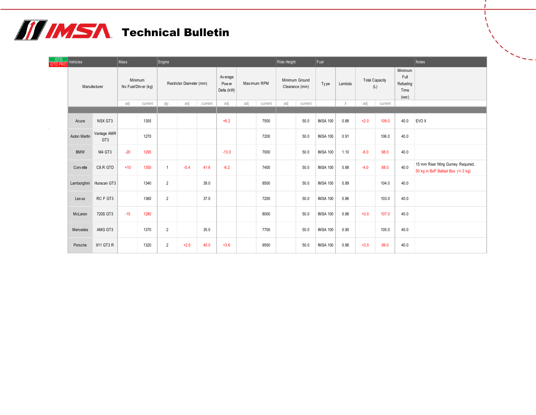## **THIMSA** Technical Bulletin

| GTD<br><b>GTD PRO</b> | Vehicles     |                         | Mass                                             |      | Engine         |        |         | Ride Height |                |      |     |         | Fuel            |           |        | Notes   |      |                                                                        |  |  |  |  |  |  |  |  |  |  |  |  |  |  |  |  |  |  |  |  |  |  |  |  |  |  |  |                          |  |                                  |  |             |  |                                  |      |        |  |                              |                                               |  |
|-----------------------|--------------|-------------------------|--------------------------------------------------|------|----------------|--------|---------|-------------|----------------|------|-----|---------|-----------------|-----------|--------|---------|------|------------------------------------------------------------------------|--|--|--|--|--|--|--|--|--|--|--|--|--|--|--|--|--|--|--|--|--|--|--|--|--|--|--|--------------------------|--|----------------------------------|--|-------------|--|----------------------------------|------|--------|--|------------------------------|-----------------------------------------------|--|
|                       | Manufacturer |                         | Minimum<br>No Fuel/Driver (kg)<br>adj<br>current |      |                |        |         |             |                |      |     |         |                 |           |        |         |      |                                                                        |  |  |  |  |  |  |  |  |  |  |  |  |  |  |  |  |  |  |  |  |  |  |  |  |  |  |  | Restrictor Diameter (mm) |  | Av erage<br>Pow er<br>Delta (kW) |  | Maximum RPM |  | Minimum Ground<br>Clearance (mm) | Type | Lambda |  | <b>Total Capacity</b><br>(L) | Minimum<br>Full<br>Refueling<br>Time<br>(sec) |  |
|                       |              |                         |                                                  |      | qty.           | adj    | current | adj         | adj<br>current |      | adj | current |                 | $\lambda$ | adj    | current |      |                                                                        |  |  |  |  |  |  |  |  |  |  |  |  |  |  |  |  |  |  |  |  |  |  |  |  |  |  |  |                          |  |                                  |  |             |  |                                  |      |        |  |                              |                                               |  |
|                       | Acura        | NSX GT3                 |                                                  | 1305 |                |        |         | $+6.2$      |                | 7500 |     | 50.0    | <b>IMSA 100</b> | 0.88      | $+2.0$ | 109.0   | 40.0 | EVO II                                                                 |  |  |  |  |  |  |  |  |  |  |  |  |  |  |  |  |  |  |  |  |  |  |  |  |  |  |  |                          |  |                                  |  |             |  |                                  |      |        |  |                              |                                               |  |
|                       | Aston Martin | Vantage AMR<br>GT3      |                                                  | 1270 |                |        |         |             |                | 7200 |     | 50.0    | <b>IMSA 100</b> | 0.91      |        | 106.0   | 40.0 |                                                                        |  |  |  |  |  |  |  |  |  |  |  |  |  |  |  |  |  |  |  |  |  |  |  |  |  |  |  |                          |  |                                  |  |             |  |                                  |      |        |  |                              |                                               |  |
|                       | <b>BMW</b>   | M4 GT3                  | $-20$                                            | 1295 |                |        |         | $-13.0$     |                | 7000 |     | 50.0    | <b>IMSA 100</b> | 1.10      | $-8.0$ | 98.0    | 40.0 |                                                                        |  |  |  |  |  |  |  |  |  |  |  |  |  |  |  |  |  |  |  |  |  |  |  |  |  |  |  |                          |  |                                  |  |             |  |                                  |      |        |  |                              |                                               |  |
|                       | Corv ette    | C8.R GTD                | $+10$                                            | 1350 | $\mathbf{1}$   | $-0.4$ | 41.6    | $-6.2$      |                | 7400 |     | 50.0    | <b>IMSA 100</b> | 0.88      | $-4.0$ | 88.0    | 40.0 | 15 mm Rear Wing Gurney Required,<br>50 kg in BoP Ballast Box (+/-3 kg) |  |  |  |  |  |  |  |  |  |  |  |  |  |  |  |  |  |  |  |  |  |  |  |  |  |  |  |                          |  |                                  |  |             |  |                                  |      |        |  |                              |                                               |  |
|                       |              | Lamborghini Huracan GT3 |                                                  | 1340 | $\overline{2}$ |        | 39.0    |             |                | 8500 |     | 50.0    | <b>IMSA 100</b> | 0.89      |        | 104.0   | 40.0 |                                                                        |  |  |  |  |  |  |  |  |  |  |  |  |  |  |  |  |  |  |  |  |  |  |  |  |  |  |  |                          |  |                                  |  |             |  |                                  |      |        |  |                              |                                               |  |
|                       | Lexus        | RC F GT3                |                                                  | 1360 | $\overline{2}$ |        | 37.0    |             |                | 7200 |     | 50.0    | <b>IMSA 100</b> | 0.86      |        | 103.0   | 40.0 |                                                                        |  |  |  |  |  |  |  |  |  |  |  |  |  |  |  |  |  |  |  |  |  |  |  |  |  |  |  |                          |  |                                  |  |             |  |                                  |      |        |  |                              |                                               |  |
|                       | McLaren      | 720S GT3                | $-15$                                            | 1280 |                |        |         |             |                | 8000 |     | 50.0    | <b>IMSA 100</b> | 0.88      | $+3.0$ | 107.0   | 40.0 |                                                                        |  |  |  |  |  |  |  |  |  |  |  |  |  |  |  |  |  |  |  |  |  |  |  |  |  |  |  |                          |  |                                  |  |             |  |                                  |      |        |  |                              |                                               |  |
|                       | Mercedes     | AMG GT3                 |                                                  | 1370 | $\overline{2}$ |        | 35.0    |             |                | 7700 |     | 50.0    | <b>IMSA 100</b> | 0.90      |        | 105.0   | 40.0 |                                                                        |  |  |  |  |  |  |  |  |  |  |  |  |  |  |  |  |  |  |  |  |  |  |  |  |  |  |  |                          |  |                                  |  |             |  |                                  |      |        |  |                              |                                               |  |
|                       | Porsche      | 911 GT3 R               |                                                  | 1320 | $\overline{2}$ | $+2.0$ | 40.0    | $+3.6$      |                | 9500 |     | 50.0    | <b>IMSA 100</b> | 0.88      | $+3.0$ | 99.0    | 40.0 |                                                                        |  |  |  |  |  |  |  |  |  |  |  |  |  |  |  |  |  |  |  |  |  |  |  |  |  |  |  |                          |  |                                  |  |             |  |                                  |      |        |  |                              |                                               |  |